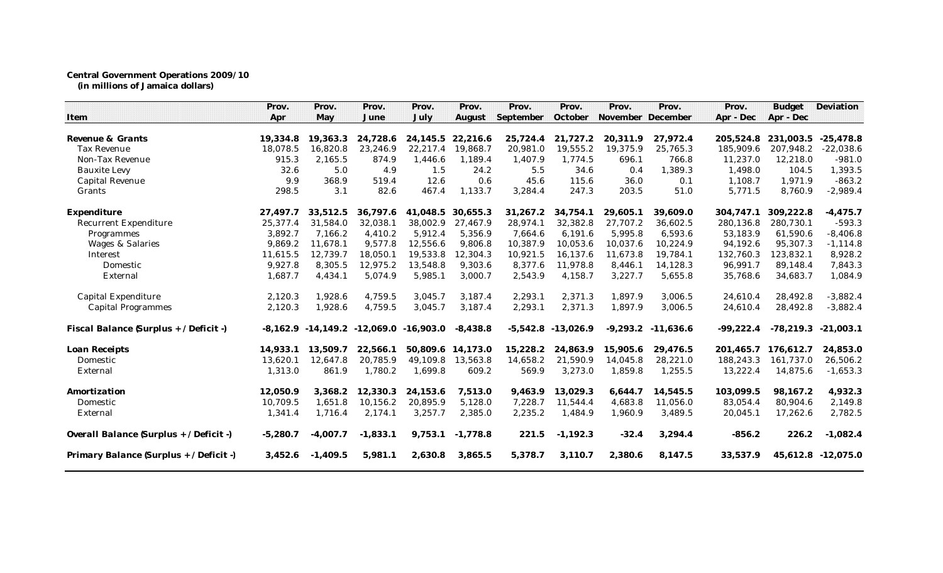## **Central Government Operations 2009/10 (in millions of Jamaica dollars)**

| Item                                    | Prov.<br>Apr | Prov.<br>May                                   | Prov.<br>June | Prov.<br>July | Prov.<br>August | Prov.<br>September | Prov.<br>October       | Prov.<br>November December | Prov.       | Prov.<br>Apr - Dec | <b>Budget</b><br>Apr - Dec | Deviation   |
|-----------------------------------------|--------------|------------------------------------------------|---------------|---------------|-----------------|--------------------|------------------------|----------------------------|-------------|--------------------|----------------------------|-------------|
|                                         |              |                                                |               |               |                 |                    |                        |                            |             |                    |                            |             |
| Revenue & Grants                        | 19,334.8     | 19,363.3                                       | 24,728.6      | 24,145.5      | 22,216.6        | 25,724.4           | 21,727.2               | 20,311.9                   | 27,972.4    | 205,524.8          | 231,003.5                  | $-25,478.8$ |
| <b>Tax Revenue</b>                      | 18,078.5     | 16,820.8                                       | 23,246.9      | 22,217.4      | 19,868.7        | 20,981.0           | 19,555.2               | 19,375.9                   | 25,765.3    | 185,909.6          | 207,948.2                  | $-22,038.6$ |
| Non-Tax Revenue                         | 915.3        | 2,165.5                                        | 874.9         | 1,446.6       | 1,189.4         | 1,407.9            | 1,774.5                | 696.1                      | 766.8       | 11,237.0           | 12,218.0                   | $-981.0$    |
| <b>Bauxite Levy</b>                     | 32.6         | 5.0                                            | 4.9           | 1.5           | 24.2            | 5.5                | 34.6                   | 0.4                        | 1,389.3     | 1,498.0            | 104.5                      | 1,393.5     |
| <b>Capital Revenue</b>                  | 9.9          | 368.9                                          | 519.4         | 12.6          | 0.6             | 45.6               | 115.6                  | 36.0                       | 0.1         | 1.108.7            | 1.971.9                    | $-863.2$    |
| Grants                                  | 298.5        | 3.1                                            | 82.6          | 467.4         | 1,133.7         | 3,284.4            | 247.3                  | 203.5                      | 51.0        | 5,771.5            | 8,760.9                    | $-2,989.4$  |
| Expenditure                             | 27.497.7     | 33.512.5                                       | 36,797.6      | 41.048.5      | 30.655.3        | 31,267.2           | 34.754.1               | 29.605.1                   | 39.609.0    | 304.747.1          | 309.222.8                  | $-4,475.7$  |
| <b>Recurrent Expenditure</b>            | 25,377.4     | 31,584.0                                       | 32,038.1      | 38,002.9      | 27.467.9        | 28,974.1           | 32,382.8               | 27.707.2                   | 36,602.5    | 280,136.8          | 280.730.1                  | $-593.3$    |
| Programmes                              | 3.892.7      | 7,166.2                                        | 4.410.2       | 5.912.4       | 5,356.9         | 7,664.6            | 6.191.6                | 5,995.8                    | 6,593.6     | 53,183.9           | 61,590.6                   | $-8,406.8$  |
| <b>Wages &amp; Salaries</b>             | 9.869.2      | 11,678.1                                       | 9,577.8       | 12,556.6      | 9,806.8         | 10,387.9           | 10,053.6               | 10,037.6                   | 10,224.9    | 94,192.6           | 95,307.3                   | $-1, 114.8$ |
| Interest                                | 11,615.5     | 12,739.7                                       | 18,050.1      | 19,533.8      | 12,304.3        | 10,921.5           | 16,137.6               | 11,673.8                   | 19,784.1    | 132,760.3          | 123,832.1                  | 8,928.2     |
| Domestic                                | 9,927.8      | 8,305.5                                        | 12,975.2      | 13,548.8      | 9,303.6         | 8,377.6            | 11,978.8               | 8,446.1                    | 14,128.3    | 96,991.7           | 89,148.4                   | 7,843.3     |
| External                                | 1,687.7      | 4,434.1                                        | 5,074.9       | 5,985.1       | 3,000.7         | 2,543.9            | 4,158.7                | 3,227.7                    | 5,655.8     | 35,768.6           | 34,683.7                   | 1,084.9     |
| Capital Expenditure                     | 2,120.3      | 1,928.6                                        | 4,759.5       | 3,045.7       | 3,187.4         | 2,293.1            | 2,371.3                | 1,897.9                    | 3,006.5     | 24,610.4           | 28,492.8                   | $-3,882.4$  |
| <b>Capital Programmes</b>               | 2,120.3      | 1,928.6                                        | 4,759.5       | 3,045.7       | 3,187.4         | 2,293.1            | 2,371.3                | 1,897.9                    | 3,006.5     | 24,610.4           | 28,492.8                   | $-3,882.4$  |
| Fiscal Balance (Surplus + / Deficit -)  |              | $-8,162.9$ $-14,149.2$ $-12,069.0$ $-16,903.0$ |               |               | $-8.438.8$      |                    | $-5,542.8$ $-13,026.9$ | $-9,293.2$                 | $-11.636.6$ | $-99,222.4$        | $-78,219.3$                | $-21.003.1$ |
| Loan Receipts                           | 14.933.1     | 13.509.7                                       | 22.566.1      | 50.809.6      | 14.173.0        | 15,228.2           | 24.863.9               | 15.905.6                   | 29.476.5    | 201.465.7          | 176.612.7                  | 24,853.0    |
| Domestic                                | 13,620.1     | 12,647.8                                       | 20,785.9      | 49,109.8      | 13.563.8        | 14,658.2           | 21,590.9               | 14,045.8                   | 28,221.0    | 188,243.3          | 161.737.0                  | 26,506.2    |
| External                                | 1,313.0      | 861.9                                          | 1,780.2       | 1,699.8       | 609.2           | 569.9              | 3,273.0                | 1,859.8                    | 1,255.5     | 13,222.4           | 14,875.6                   | $-1,653.3$  |
| Amortization                            | 12.050.9     | 3,368.2                                        | 12,330.3      | 24.153.6      | 7,513.0         | 9.463.9            | 13.029.3               | 6.644.7                    | 14,545.5    | 103,099.5          | 98.167.2                   | 4,932.3     |
| Domestic                                | 10.709.5     | 1,651.8                                        | 10,156.2      | 20,895.9      | 5,128.0         | 7,228.7            | 11,544.4               | 4,683.8                    | 11,056.0    | 83,054.4           | 80,904.6                   | 2,149.8     |
| External                                | 1,341.4      | 1,716.4                                        | 2,174.1       | 3,257.7       | 2,385.0         | 2,235.2            | 1,484.9                | 1,960.9                    | 3,489.5     | 20,045.1           | 17,262.6                   | 2,782.5     |
| Overall Balance (Surplus + / Deficit -) | $-5,280.7$   | $-4,007.7$                                     | $-1,833.1$    | 9,753.1       | $-1,778.8$      | 221.5              | $-1,192.3$             | $-32.4$                    | 3,294.4     | $-856.2$           | 226.2                      | $-1,082.4$  |
| Primary Balance (Surplus + / Deficit -) | 3,452.6      | $-1,409.5$                                     | 5,981.1       | 2,630.8       | 3,865.5         | 5,378.7            | 3,110.7                | 2,380.6                    | 8,147.5     | 33,537.9           | 45,612.8                   | $-12,075.0$ |